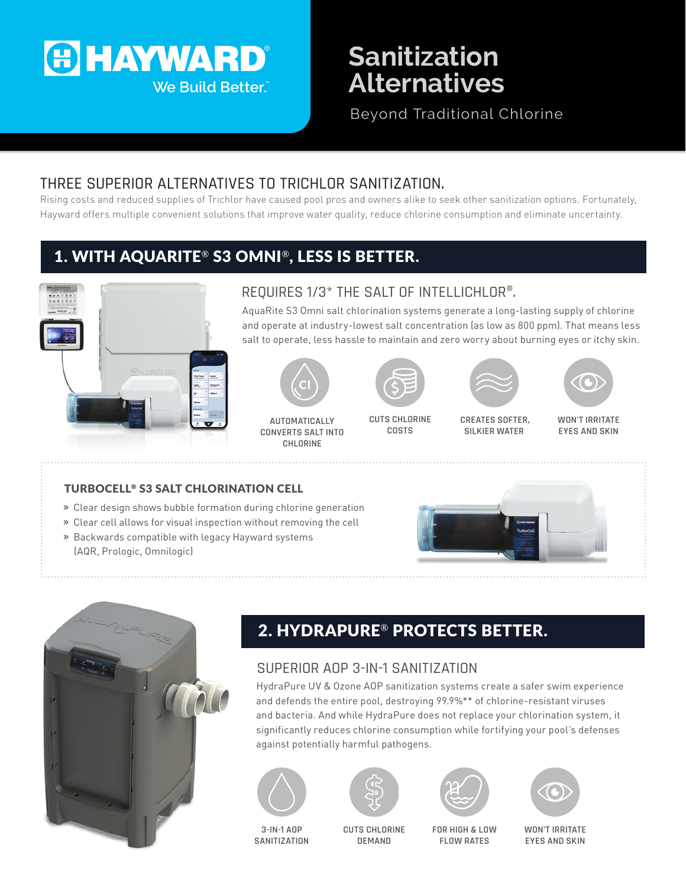

# **Sanitization Alternatives**

Beyond Traditional Chlorine

### THREE SUPERIOR ALTERNATIVES TO TRICHLOR SANITIZATION.

Rising costs and reduced supplies of Trichlor have caused pool pros and owners alike to seek other sanitization options. Fortunately, Hayward offers multiple convenient solutions that improve water quality, reduce chlorine consumption and eliminate uncertainty.

## 1. WITH AQUARITE® S3 OMNI®, LESS IS BETTER.



#### REQUIRES 1/3\* THE SALT OF INTELLICHLOR®.

AquaRite S3 Omni salt chlorination systems generate a long-lasting supply of chlorine and operate at industry-lowest salt concentration (as low as 800 ppm). That means less salt to operate, less hassle to maintain and zero worry about burning eyes or itchy skin.



**AUTOMATICALLY CONVERTS SALT INTO CHLORINE**



**CUTS CHLORINE COSTS**





**CREATES SOFTER, SILKIER WATER**

**WON'T IRRITATE EYES AND SKIN**

#### TURBOCELL® S3 SALT CHLORINATION CELL

- **»** Clear design shows bubble formation during chlorine generation
- **»** Clear cell allows for visual inspection without removing the cell
- **»** Backwards compatible with legacy Hayward systems (AQR, Prologic, Omnilogic)





# 2. HYDRAPURE® PROTECTS BETTER.

#### SUPERIOR AOP 3-IN-1 SANITIZATION

HydraPure UV & Ozone AOP sanitization systems create a safer swim experience and defends the entire pool, destroying 99.9%\*\* of chlorine-resistant viruses and bacteria. And while HydraPure does not replace your chlorination system, it significantly reduces chlorine consumption while fortifying your pool's defenses against potentially harmful pathogens.









**3-IN-1 AOP SANITIZATION**

**CUTS CHLORINE DEMAND**

**FOR HIGH & LOW FLOW RATES**

**WON'T IRRITATE EYES AND SKIN**